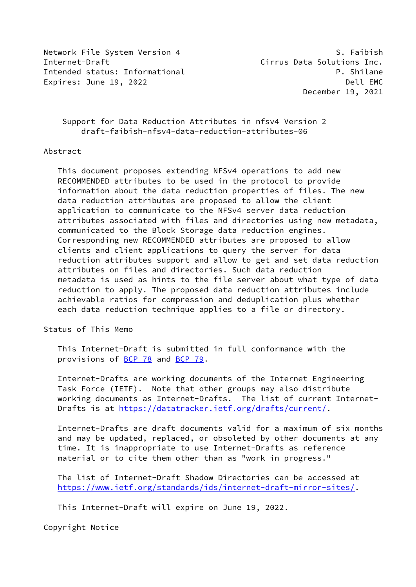Network File System Version 4 S. Faibish Internet-Draft **Cirrus Data Solutions Inc.** Intended status: Informational example and the property of the P. Shilane Expires: June 19, 2022 **Dell EMC** 

December 19, 2021

# Support for Data Reduction Attributes in nfsv4 Version 2 draft-faibish-nfsv4-data-reduction-attributes-06

### Abstract

 This document proposes extending NFSv4 operations to add new RECOMMENDED attributes to be used in the protocol to provide information about the data reduction properties of files. The new data reduction attributes are proposed to allow the client application to communicate to the NFSv4 server data reduction attributes associated with files and directories using new metadata, communicated to the Block Storage data reduction engines. Corresponding new RECOMMENDED attributes are proposed to allow clients and client applications to query the server for data reduction attributes support and allow to get and set data reduction attributes on files and directories. Such data reduction metadata is used as hints to the file server about what type of data reduction to apply. The proposed data reduction attributes include achievable ratios for compression and deduplication plus whether each data reduction technique applies to a file or directory.

Status of This Memo

 This Internet-Draft is submitted in full conformance with the provisions of [BCP 78](https://datatracker.ietf.org/doc/pdf/bcp78) and [BCP 79](https://datatracker.ietf.org/doc/pdf/bcp79).

 Internet-Drafts are working documents of the Internet Engineering Task Force (IETF). Note that other groups may also distribute working documents as Internet-Drafts. The list of current Internet- Drafts is at<https://datatracker.ietf.org/drafts/current/>.

 Internet-Drafts are draft documents valid for a maximum of six months and may be updated, replaced, or obsoleted by other documents at any time. It is inappropriate to use Internet-Drafts as reference material or to cite them other than as "work in progress."

 The list of Internet-Draft Shadow Directories can be accessed at <https://www.ietf.org/standards/ids/internet-draft-mirror-sites/>.

This Internet-Draft will expire on June 19, 2022.

Copyright Notice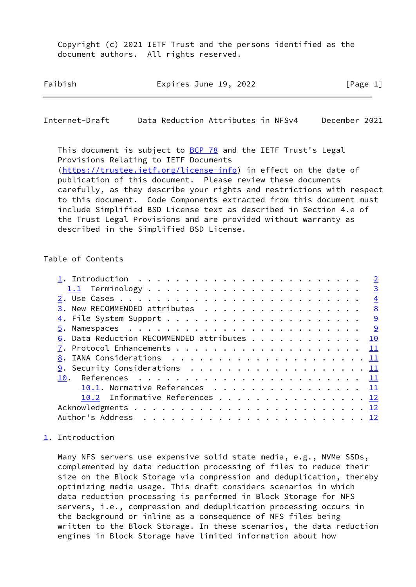Copyright (c) 2021 IETF Trust and the persons identified as the document authors. All rights reserved.

| Faibish<br>Expires June 19, 2022 |  | [Page 1] |
|----------------------------------|--|----------|
|----------------------------------|--|----------|

<span id="page-1-1"></span>Internet-Draft Data Reduction Attributes in NFSv4 December 2021

This document is subject to **[BCP 78](https://datatracker.ietf.org/doc/pdf/bcp78)** and the IETF Trust's Legal Provisions Relating to IETF Documents [\(https://trustee.ietf.org/license-info](https://trustee.ietf.org/license-info)) in effect on the date of publication of this document. Please review these documents carefully, as they describe your rights and restrictions with respect to this document. Code Components extracted from this document must include Simplified BSD License text as described in Section 4.e of the Trust Legal Provisions and are provided without warranty as described in the Simplified BSD License.

#### Table of Contents

|                                                | $\overline{2}$ |
|------------------------------------------------|----------------|
|                                                |                |
|                                                |                |
| $\underline{3}$ . New RECOMMENDED attributes 8 |                |
|                                                |                |
|                                                |                |
| 6. Data Reduction RECOMMENDED attributes 10    |                |
|                                                |                |
|                                                |                |
|                                                |                |
| 10.                                            |                |
| 10.1. Normative References 11                  |                |
| 10.2 Informative References 12                 |                |
|                                                |                |
|                                                |                |

### <span id="page-1-0"></span>[1](#page-1-0). Introduction

 Many NFS servers use expensive solid state media, e.g., NVMe SSDs, complemented by data reduction processing of files to reduce their size on the Block Storage via compression and deduplication, thereby optimizing media usage. This draft considers scenarios in which data reduction processing is performed in Block Storage for NFS servers, i.e., compression and deduplication processing occurs in the background or inline as a consequence of NFS files being written to the Block Storage. In these scenarios, the data reduction engines in Block Storage have limited information about how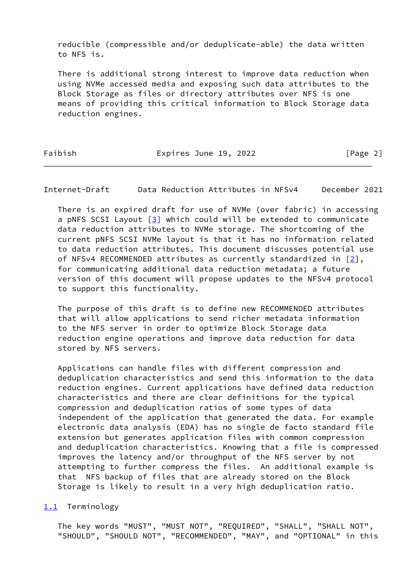reducible (compressible and/or deduplicate-able) the data written to NFS is.

 There is additional strong interest to improve data reduction when using NVMe accessed media and exposing such data attributes to the Block Storage as files or directory attributes over NFS is one means of providing this critical information to Block Storage data reduction engines.

Faibish **Expires June 19, 2022** [Page 2]

<span id="page-2-1"></span>Internet-Draft Data Reduction Attributes in NFSv4 December 2021

 There is an expired draft for use of NVMe (over fabric) in accessing a pNFS SCSI Layout  $[3]$  $[3]$  which could will be extended to communicate data reduction attributes to NVMe storage. The shortcoming of the current pNFS SCSI NVMe layout is that it has no information related to data reduction attributes. This document discusses potential use of NFSv4 RECOMMENDED attributes as currently standardized in  $[2]$ , for communicating additional data reduction metadata; a future version of this document will propose updates to the NFSv4 protocol to support this functionality.

 The purpose of this draft is to define new RECOMMENDED attributes that will allow applications to send richer metadata information to the NFS server in order to optimize Block Storage data reduction engine operations and improve data reduction for data stored by NFS servers.

 Applications can handle files with different compression and deduplication characteristics and send this information to the data reduction engines. Current applications have defined data reduction characteristics and there are clear definitions for the typical compression and deduplication ratios of some types of data independent of the application that generated the data. For example electronic data analysis (EDA) has no single de facto standard file extension but generates application files with common compression and deduplication characteristics. Knowing that a file is compressed improves the latency and/or throughput of the NFS server by not attempting to further compress the files. An additional example is that NFS backup of files that are already stored on the Block Storage is likely to result in a very high deduplication ratio.

<span id="page-2-0"></span>[1.1](#page-2-0) Terminology

 The key words "MUST", "MUST NOT", "REQUIRED", "SHALL", "SHALL NOT", "SHOULD", "SHOULD NOT", "RECOMMENDED", "MAY", and "OPTIONAL" in this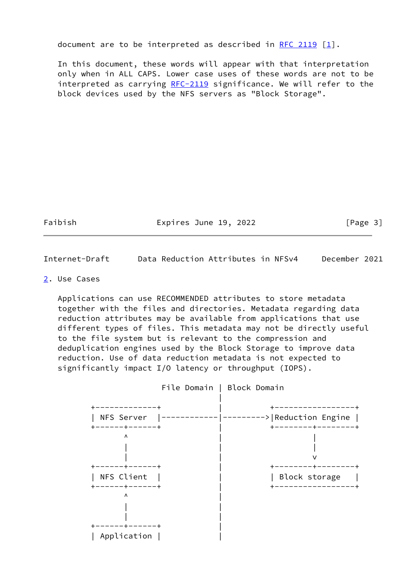document are to be interpreted as described in [RFC 2119](https://datatracker.ietf.org/doc/pdf/rfc2119)  $\lceil 1 \rceil$ .

 In this document, these words will appear with that interpretation only when in ALL CAPS. Lower case uses of these words are not to be interpreted as carrying [RFC-2119](https://datatracker.ietf.org/doc/pdf/rfc2119) significance. We will refer to the block devices used by the NFS servers as "Block Storage".

Faibish Expires June 19, 2022 [Page 3]

<span id="page-3-1"></span>Internet-Draft Data Reduction Attributes in NFSv4 December 2021

<span id="page-3-0"></span>[2](#page-3-0). Use Cases

 Applications can use RECOMMENDED attributes to store metadata together with the files and directories. Metadata regarding data reduction attributes may be available from applications that use different types of files. This metadata may not be directly useful to the file system but is relevant to the compression and deduplication engines used by the Block Storage to improve data reduction. Use of data reduction metadata is not expected to significantly impact I/O latency or throughput (IOPS).

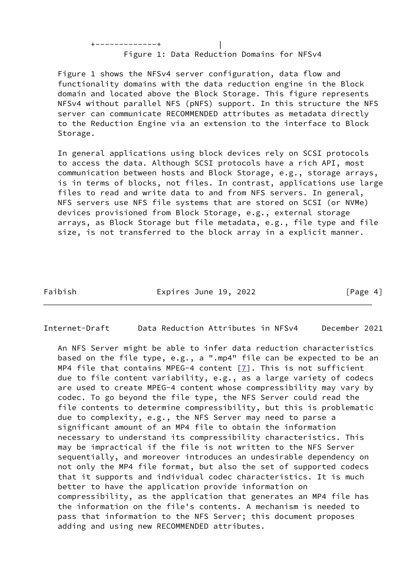Figure 1: Data Reduction Domains for NFSv4

+-------------+ |

 Figure 1 shows the NFSv4 server configuration, data flow and functionality domains with the data reduction engine in the Block domain and located above the Block Storage. This figure represents NFSv4 without parallel NFS (pNFS) support. In this structure the NFS server can communicate RECOMMENDED attributes as metadata directly to the Reduction Engine via an extension to the interface to Block Storage.

 In general applications using block devices rely on SCSI protocols to access the data. Although SCSI protocols have a rich API, most communication between hosts and Block Storage, e.g., storage arrays, is in terms of blocks, not files. In contrast, applications use large files to read and write data to and from NFS servers. In general, NFS servers use NFS file systems that are stored on SCSI (or NVMe) devices provisioned from Block Storage, e.g., external storage arrays, as Block Storage but file metadata, e.g., file type and file size, is not transferred to the block array in a explicit manner.

Faibish **Expires June 19, 2022** [Page 4]

Internet-Draft Data Reduction Attributes in NFSv4 December 2021

 An NFS Server might be able to infer data reduction characteristics based on the file type, e.g., a ".mp4" file can be expected to be an MP4 file that contains MPEG-4 content  $[7]$  $[7]$ . This is not sufficient due to file content variability, e.g., as a large variety of codecs are used to create MPEG-4 content whose compressibility may vary by codec. To go beyond the file type, the NFS Server could read the file contents to determine compressibility, but this is problematic due to complexity, e.g., the NFS Server may need to parse a significant amount of an MP4 file to obtain the information necessary to understand its compressibility characteristics. This may be impractical if the file is not written to the NFS Server sequentially, and moreover introduces an undesirable dependency on not only the MP4 file format, but also the set of supported codecs that it supports and individual codec characteristics. It is much better to have the application provide information on compressibility, as the application that generates an MP4 file has the information on the file's contents. A mechanism is needed to pass that information to the NFS Server; this document proposes adding and using new RECOMMENDED attributes.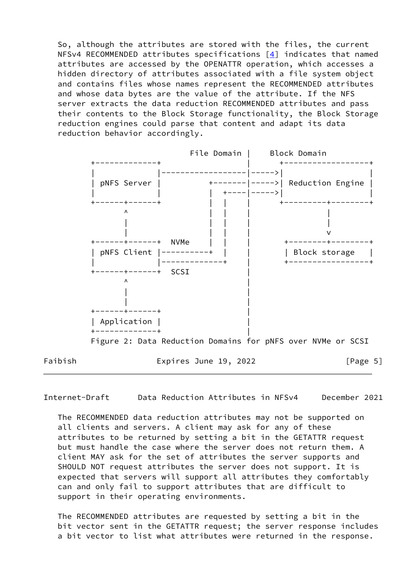So, although the attributes are stored with the files, the current NFSv4 RECOMMENDED attributes specifications  $[4]$  $[4]$  indicates that named attributes are accessed by the OPENATTR operation, which accesses a hidden directory of attributes associated with a file system object and contains files whose names represent the RECOMMENDED attributes and whose data bytes are the value of the attribute. If the NFS server extracts the data reduction RECOMMENDED attributes and pass their contents to the Block Storage functionality, the Block Storage reduction engines could parse that content and adapt its data reduction behavior accordingly.



Internet-Draft Data Reduction Attributes in NFSv4 December 2021

 The RECOMMENDED data reduction attributes may not be supported on all clients and servers. A client may ask for any of these attributes to be returned by setting a bit in the GETATTR request but must handle the case where the server does not return them. A client MAY ask for the set of attributes the server supports and SHOULD NOT request attributes the server does not support. It is expected that servers will support all attributes they comfortably can and only fail to support attributes that are difficult to support in their operating environments.

 The RECOMMENDED attributes are requested by setting a bit in the bit vector sent in the GETATTR request; the server response includes a bit vector to list what attributes were returned in the response.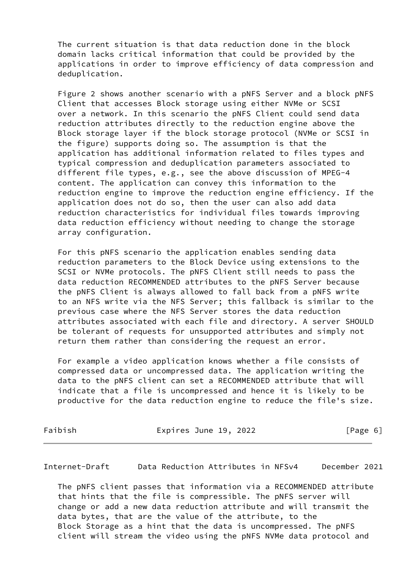The current situation is that data reduction done in the block domain lacks critical information that could be provided by the applications in order to improve efficiency of data compression and deduplication.

 Figure 2 shows another scenario with a pNFS Server and a block pNFS Client that accesses Block storage using either NVMe or SCSI over a network. In this scenario the pNFS Client could send data reduction attributes directly to the reduction engine above the Block storage layer if the block storage protocol (NVMe or SCSI in the figure) supports doing so. The assumption is that the application has additional information related to files types and typical compression and deduplication parameters associated to different file types, e.g., see the above discussion of MPEG-4 content. The application can convey this information to the reduction engine to improve the reduction engine efficiency. If the application does not do so, then the user can also add data reduction characteristics for individual files towards improving data reduction efficiency without needing to change the storage array configuration.

 For this pNFS scenario the application enables sending data reduction parameters to the Block Device using extensions to the SCSI or NVMe protocols. The pNFS Client still needs to pass the data reduction RECOMMENDED attributes to the pNFS Server because the pNFS Client is always allowed to fall back from a pNFS write to an NFS write via the NFS Server; this fallback is similar to the previous case where the NFS Server stores the data reduction attributes associated with each file and directory. A server SHOULD be tolerant of requests for unsupported attributes and simply not return them rather than considering the request an error.

 For example a video application knows whether a file consists of compressed data or uncompressed data. The application writing the data to the pNFS client can set a RECOMMENDED attribute that will indicate that a file is uncompressed and hence it is likely to be productive for the data reduction engine to reduce the file's size.

Faibish Expires June 19, 2022 [Page 6]

Internet-Draft Data Reduction Attributes in NFSv4 December 2021

 The pNFS client passes that information via a RECOMMENDED attribute that hints that the file is compressible. The pNFS server will change or add a new data reduction attribute and will transmit the data bytes, that are the value of the attribute, to the Block Storage as a hint that the data is uncompressed. The pNFS client will stream the video using the pNFS NVMe data protocol and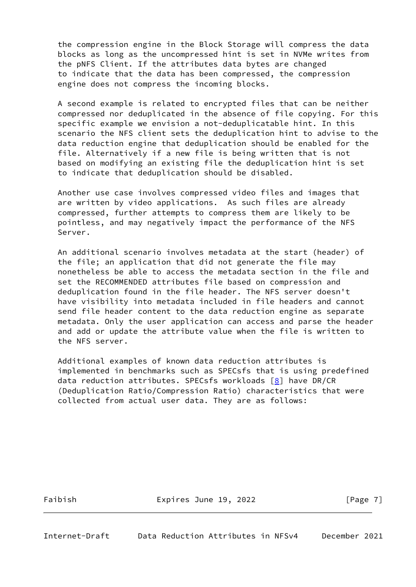the compression engine in the Block Storage will compress the data blocks as long as the uncompressed hint is set in NVMe writes from the pNFS Client. If the attributes data bytes are changed to indicate that the data has been compressed, the compression engine does not compress the incoming blocks.

 A second example is related to encrypted files that can be neither compressed nor deduplicated in the absence of file copying. For this specific example we envision a not-deduplicatable hint. In this scenario the NFS client sets the deduplication hint to advise to the data reduction engine that deduplication should be enabled for the file. Alternatively if a new file is being written that is not based on modifying an existing file the deduplication hint is set to indicate that deduplication should be disabled.

 Another use case involves compressed video files and images that are written by video applications. As such files are already compressed, further attempts to compress them are likely to be pointless, and may negatively impact the performance of the NFS Server.

 An additional scenario involves metadata at the start (header) of the file; an application that did not generate the file may nonetheless be able to access the metadata section in the file and set the RECOMMENDED attributes file based on compression and deduplication found in the file header. The NFS server doesn't have visibility into metadata included in file headers and cannot send file header content to the data reduction engine as separate metadata. Only the user application can access and parse the header and add or update the attribute value when the file is written to the NFS server.

 Additional examples of known data reduction attributes is implemented in benchmarks such as SPECsfs that is using predefined data reduction attributes. SPECsfs workloads [\[8\]](#page-13-0) have DR/CR (Deduplication Ratio/Compression Ratio) characteristics that were collected from actual user data. They are as follows:

Faibish Expires June 19, 2022 [Page 7]

<span id="page-7-0"></span>Internet-Draft Data Reduction Attributes in NFSv4 December 2021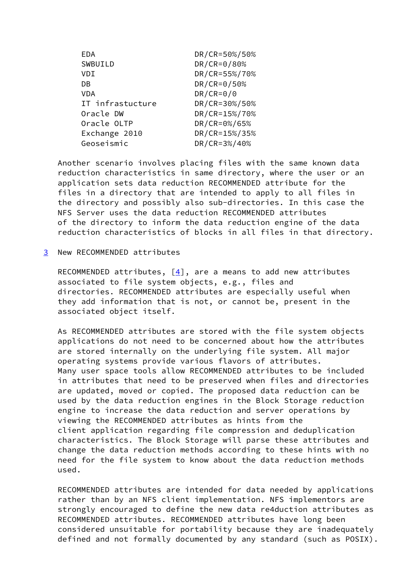| EDA              | DR/CR=50%/50% |
|------------------|---------------|
| SWBUILD          | DR/CR=0/80%   |
| VDI              | DR/CR=55%/70% |
| DB               | DR/CR=0/50%   |
| VDA              | $DR/CR = 0/0$ |
| IT infrastucture | DR/CR=30%/50% |
| Oracle DW        | DR/CR=15%/70% |
| Oracle OLTP      | DR/CR=0%/65%  |
| Exchange 2010    | DR/CR=15%/35% |
| Geoseismic       | DR/CR=3%/40%  |

 Another scenario involves placing files with the same known data reduction characteristics in same directory, where the user or an application sets data reduction RECOMMENDED attribute for the files in a directory that are intended to apply to all files in the directory and possibly also sub-directories. In this case the NFS Server uses the data reduction RECOMMENDED attributes of the directory to inform the data reduction engine of the data reduction characteristics of blocks in all files in that directory.

<span id="page-8-0"></span>[3](#page-8-0) New RECOMMENDED attributes

RECOMMENDED attributes,  $[4]$  $[4]$ , are a means to add new attributes associated to file system objects, e.g., files and directories. RECOMMENDED attributes are especially useful when they add information that is not, or cannot be, present in the associated object itself.

 As RECOMMENDED attributes are stored with the file system objects applications do not need to be concerned about how the attributes are stored internally on the underlying file system. All major operating systems provide various flavors of attributes. Many user space tools allow RECOMMENDED attributes to be included in attributes that need to be preserved when files and directories are updated, moved or copied. The proposed data reduction can be used by the data reduction engines in the Block Storage reduction engine to increase the data reduction and server operations by viewing the RECOMMENDED attributes as hints from the client application regarding file compression and deduplication characteristics. The Block Storage will parse these attributes and change the data reduction methods according to these hints with no need for the file system to know about the data reduction methods used.

 RECOMMENDED attributes are intended for data needed by applications rather than by an NFS client implementation. NFS implementors are strongly encouraged to define the new data re4duction attributes as RECOMMENDED attributes. RECOMMENDED attributes have long been considered unsuitable for portability because they are inadequately defined and not formally documented by any standard (such as POSIX).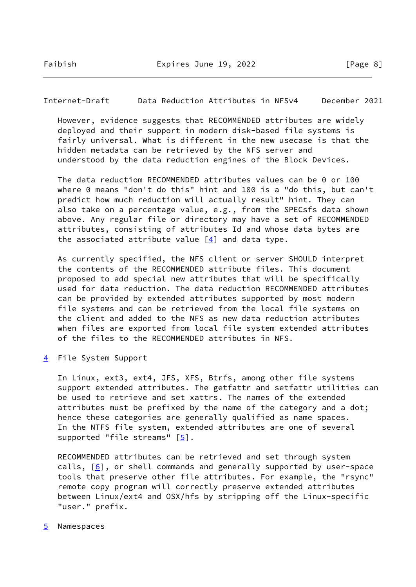<span id="page-9-1"></span>Internet-Draft Data Reduction Attributes in NFSv4 December 2021

 However, evidence suggests that RECOMMENDED attributes are widely deployed and their support in modern disk-based file systems is fairly universal. What is different in the new usecase is that the hidden metadata can be retrieved by the NFS server and understood by the data reduction engines of the Block Devices.

 The data reductiom RECOMMENDED attributes values can be 0 or 100 where 0 means "don't do this" hint and 100 is a "do this, but can't predict how much reduction will actually result" hint. They can also take on a percentage value, e.g., from the SPECsfs data shown above. Any regular file or directory may have a set of RECOMMENDED attributes, consisting of attributes Id and whose data bytes are the associated attribute value  $\lceil 4 \rceil$  and data type.

 As currently specified, the NFS client or server SHOULD interpret the contents of the RECOMMENDED attribute files. This document proposed to add special new attributes that will be specifically used for data reduction. The data reduction RECOMMENDED attributes can be provided by extended attributes supported by most modern file systems and can be retrieved from the local file systems on the client and added to the NFS as new data reduction attributes when files are exported from local file system extended attributes of the files to the RECOMMENDED attributes in NFS.

<span id="page-9-0"></span>[4](#page-9-0) File System Support

 In Linux, ext3, ext4, JFS, XFS, Btrfs, among other file systems support extended attributes. The getfattr and setfattr utilities can be used to retrieve and set xattrs. The names of the extended attributes must be prefixed by the name of the category and a dot; hence these categories are generally qualified as name spaces. In the NTFS file system, extended attributes are one of several supported "file streams"  $[5]$ .

 RECOMMENDED attributes can be retrieved and set through system calls,  $[6]$  $[6]$ , or shell commands and generally supported by user-space tools that preserve other file attributes. For example, the "rsync" remote copy program will correctly preserve extended attributes between Linux/ext4 and OSX/hfs by stripping off the Linux-specific "user." prefix.

#### <span id="page-9-2"></span>[5](#page-9-2) Namespaces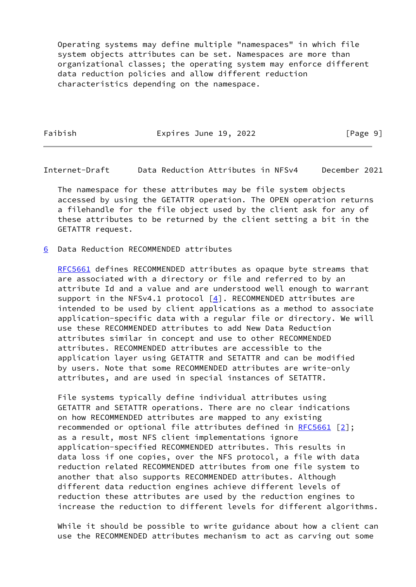Operating systems may define multiple "namespaces" in which file system objects attributes can be set. Namespaces are more than organizational classes; the operating system may enforce different data reduction policies and allow different reduction characteristics depending on the namespace.

Faibish **Expires June 19, 2022** [Page 9]

<span id="page-10-1"></span>Internet-Draft Data Reduction Attributes in NFSv4 December 2021

 The namespace for these attributes may be file system objects accessed by using the GETATTR operation. The OPEN operation returns a filehandle for the file object used by the client ask for any of these attributes to be returned by the client setting a bit in the GETATTR request.

<span id="page-10-0"></span>[6](#page-10-0) Data Reduction RECOMMENDED attributes

[RFC5661](https://datatracker.ietf.org/doc/pdf/rfc5661) defines RECOMMENDED attributes as opaque byte streams that are associated with a directory or file and referred to by an attribute Id and a value and are understood well enough to warrant support in the NFSv4.1 protocol [\[4](#page-12-8)]. RECOMMENDED attributes are intended to be used by client applications as a method to associate application-specific data with a regular file or directory. We will use these RECOMMENDED attributes to add New Data Reduction attributes similar in concept and use to other RECOMMENDED attributes. RECOMMENDED attributes are accessible to the application layer using GETATTR and SETATTR and can be modified by users. Note that some RECOMMENDED attributes are write-only attributes, and are used in special instances of SETATTR.

 File systems typically define individual attributes using GETATTR and SETATTR operations. There are no clear indications on how RECOMMENDED attributes are mapped to any existing recommended or optional file attributes defined in [RFC5661](https://datatracker.ietf.org/doc/pdf/rfc5661) [[2\]](#page-12-5); as a result, most NFS client implementations ignore application-specified RECOMMENDED attributes. This results in data loss if one copies, over the NFS protocol, a file with data reduction related RECOMMENDED attributes from one file system to another that also supports RECOMMENDED attributes. Although different data reduction engines achieve different levels of reduction these attributes are used by the reduction engines to increase the reduction to different levels for different algorithms.

 While it should be possible to write guidance about how a client can use the RECOMMENDED attributes mechanism to act as carving out some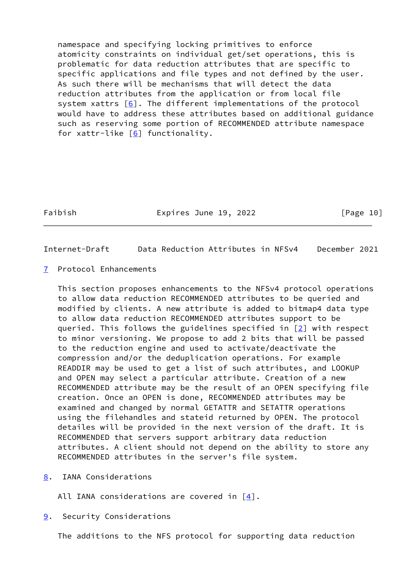namespace and specifying locking primitives to enforce atomicity constraints on individual get/set operations, this is problematic for data reduction attributes that are specific to specific applications and file types and not defined by the user. As such there will be mechanisms that will detect the data reduction attributes from the application or from local file system xattrs  $[6]$  $[6]$ . The different implementations of the protocol would have to address these attributes based on additional guidance such as reserving some portion of RECOMMENDED attribute namespace for xattr-like  $[6]$  $[6]$  functionality.

Faibish **Expires June 19, 2022** [Page 10]

<span id="page-11-1"></span>Internet-Draft Data Reduction Attributes in NFSv4 December 2021

<span id="page-11-0"></span>[7](#page-11-0) Protocol Enhancements

 This section proposes enhancements to the NFSv4 protocol operations to allow data reduction RECOMMENDED attributes to be queried and modified by clients. A new attribute is added to bitmap4 data type to allow data reduction RECOMMENDED attributes support to be queried. This follows the guidelines specified in [[2\]](#page-12-5) with respect to minor versioning. We propose to add 2 bits that will be passed to the reduction engine and used to activate/deactivate the compression and/or the deduplication operations. For example READDIR may be used to get a list of such attributes, and LOOKUP and OPEN may select a particular attribute. Creation of a new RECOMMENDED attribute may be the result of an OPEN specifying file creation. Once an OPEN is done, RECOMMENDED attributes may be examined and changed by normal GETATTR and SETATTR operations using the filehandles and stateid returned by OPEN. The protocol detailes will be provided in the next version of the draft. It is RECOMMENDED that servers support arbitrary data reduction attributes. A client should not depend on the ability to store any RECOMMENDED attributes in the server's file system.

<span id="page-11-2"></span>[8](#page-11-2). IANA Considerations

All IANA considerations are covered in  $[4]$  $[4]$ .

<span id="page-11-3"></span>[9](#page-11-3). Security Considerations

The additions to the NFS protocol for supporting data reduction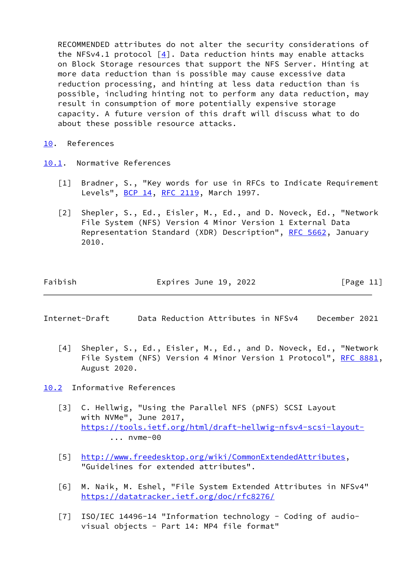RECOMMENDED attributes do not alter the security considerations of the NFSv4.1 protocol  $[4]$ . Data reduction hints may enable attacks on Block Storage resources that support the NFS Server. Hinting at more data reduction than is possible may cause excessive data reduction processing, and hinting at less data reduction than is possible, including hinting not to perform any data reduction, may result in consumption of more potentially expensive storage capacity. A future version of this draft will discuss what to do about these possible resource attacks.

- <span id="page-12-0"></span>[10.](#page-12-0) References
- <span id="page-12-6"></span><span id="page-12-5"></span><span id="page-12-1"></span>[10.1](#page-12-1). Normative References
	- [1] Bradner, S., "Key words for use in RFCs to Indicate Requirement Levels", [BCP 14](https://datatracker.ietf.org/doc/pdf/bcp14), [RFC 2119](https://datatracker.ietf.org/doc/pdf/rfc2119), March 1997.
	- [2] Shepler, S., Ed., Eisler, M., Ed., and D. Noveck, Ed., "Network File System (NFS) Version 4 Minor Version 1 External Data Representation Standard (XDR) Description", [RFC 5662](https://datatracker.ietf.org/doc/pdf/rfc5662), January 2010.

| Expires June 19, 2022 | [Page 11] |
|-----------------------|-----------|
|                       |           |

<span id="page-12-3"></span>Internet-Draft Data Reduction Attributes in NFSv4 December 2021

<span id="page-12-8"></span> [4] Shepler, S., Ed., Eisler, M., Ed., and D. Noveck, Ed., "Network File System (NFS) Version 4 Minor Version 1 Protocol", [RFC 8881,](https://datatracker.ietf.org/doc/pdf/rfc8881) August 2020.

<span id="page-12-2"></span>[10.2](#page-12-2) Informative References

- <span id="page-12-4"></span> [3] C. Hellwig, "Using the Parallel NFS (pNFS) SCSI Layout with NVMe", June 2017, <https://tools.ietf.org/html/draft-hellwig-nfsv4-scsi-layout-> ... nvme-00
- <span id="page-12-9"></span> [5] <http://www.freedesktop.org/wiki/CommonExtendedAttributes>, "Guidelines for extended attributes".
- <span id="page-12-10"></span> [6] M. Naik, M. Eshel, "File System Extended Attributes in NFSv4" <https://datatracker.ietf.org/doc/rfc8276/>
- <span id="page-12-7"></span> [7] ISO/IEC 14496-14 "Information technology - Coding of audio visual objects - Part 14: MP4 file format"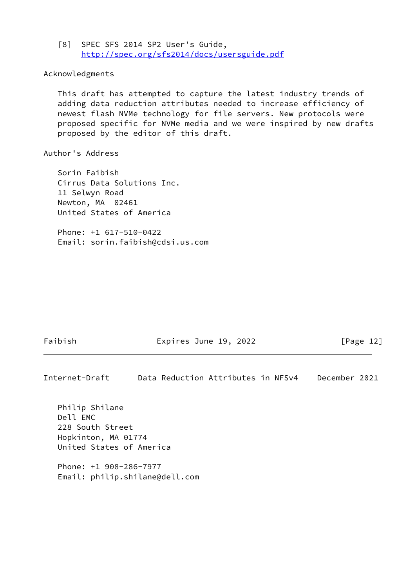<span id="page-13-0"></span> [8] SPEC SFS 2014 SP2 User's Guide, <http://spec.org/sfs2014/docs/usersguide.pdf>

## Acknowledgments

 This draft has attempted to capture the latest industry trends of adding data reduction attributes needed to increase efficiency of newest flash NVMe technology for file servers. New protocols were proposed specific for NVMe media and we were inspired by new drafts proposed by the editor of this draft.

### Author's Address

 Sorin Faibish Cirrus Data Solutions Inc. 11 Selwyn Road Newton, MA 02461 United States of America

 Phone: +1 617-510-0422 Email: sorin.faibish@cdsi.us.com

Faibish **Expires June 19, 2022** [Page 12]

Internet-Draft Data Reduction Attributes in NFSv4 December 2021

 Philip Shilane Dell EMC 228 South Street Hopkinton, MA 01774 United States of America

 Phone: +1 908-286-7977 Email: philip.shilane@dell.com